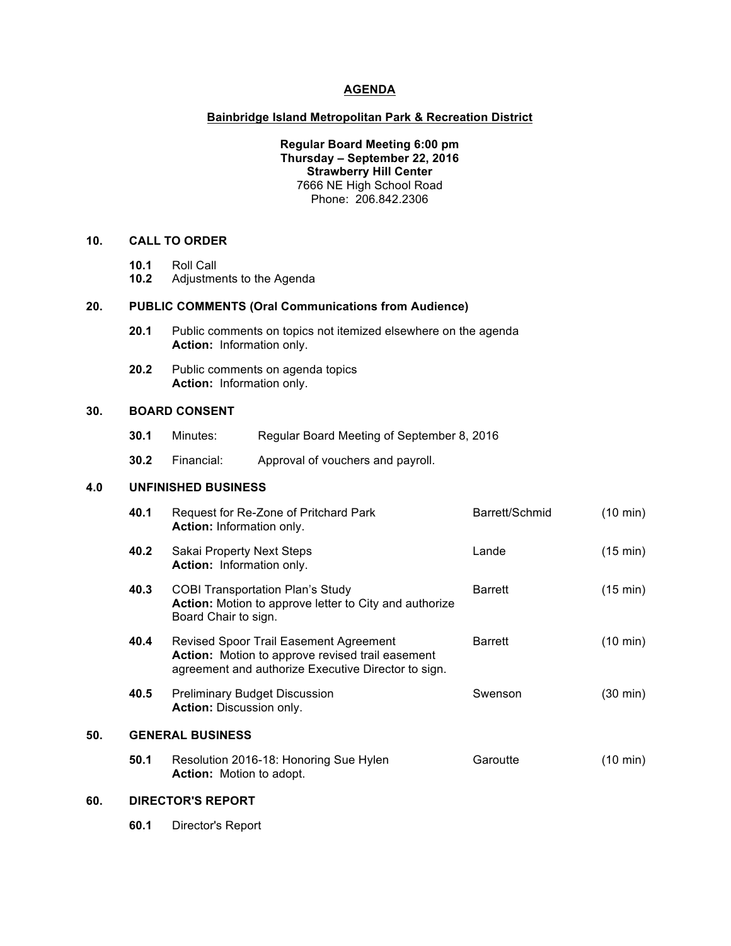### **AGENDA**

### **Bainbridge Island Metropolitan Park & Recreation District**

**Regular Board Meeting 6:00 pm Thursday – September 22, 2016 Strawberry Hill Center** 7666 NE High School Road Phone: 206.842.2306

# **10. CALL TO ORDER**

- **10.1** Roll Call
- **10.2** Adjustments to the Agenda

#### **20. PUBLIC COMMENTS (Oral Communications from Audience)**

- **20.1** Public comments on topics not itemized elsewhere on the agenda **Action:** Information only.
- **20.2** Public comments on agenda topics **Action:** Information only.

### **30. BOARD CONSENT**

- **30.1** Minutes: Regular Board Meeting of September 8, 2016
- **30.2** Financial: Approval of vouchers and payroll.

## **4.0 UNFINISHED BUSINESS**

|     | 40.1                    | Request for Re-Zone of Pritchard Park<br>Action: Information only.                                                                                       | Barrett/Schmid | $(10 \text{ min})$ |
|-----|-------------------------|----------------------------------------------------------------------------------------------------------------------------------------------------------|----------------|--------------------|
|     | 40.2                    | Sakai Property Next Steps<br>Action: Information only.                                                                                                   | Lande          | $(15 \text{ min})$ |
|     | 40.3                    | <b>COBI Transportation Plan's Study</b><br>Action: Motion to approve letter to City and authorize<br>Board Chair to sign.                                | <b>Barrett</b> | $(15 \text{ min})$ |
|     | 40.4                    | <b>Revised Spoor Trail Easement Agreement</b><br>Action: Motion to approve revised trail easement<br>agreement and authorize Executive Director to sign. | <b>Barrett</b> | (10 min)           |
|     | 40.5                    | <b>Preliminary Budget Discussion</b><br>Action: Discussion only.                                                                                         | Swenson        | (30 min)           |
| 50. | <b>GENERAL BUSINESS</b> |                                                                                                                                                          |                |                    |
|     | 50.1                    | Resolution 2016-18: Honoring Sue Hylen<br><b>Action:</b> Motion to adopt.                                                                                | Garoutte       | (10 min)           |

## **60. DIRECTOR'S REPORT**

**60.1** Director's Report